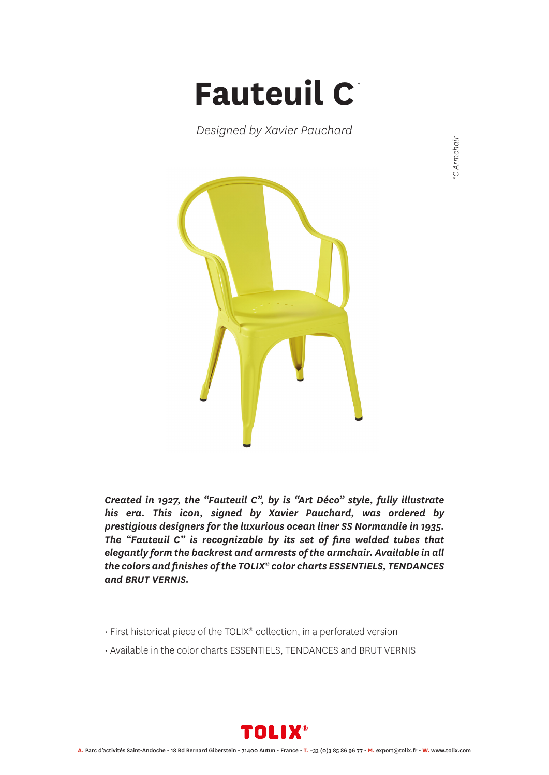## **Fauteuil C** *\**

*Designed by Xavier Pauchard*



*Created in 1927, the "Fauteuil C", by is "Art Déco" style, fully illustrate his era. This icon, signed by Xavier Pauchard, was ordered by prestigious designers for the luxurious ocean liner SS Normandie in 1935. The "Fauteuil C" is recognizable by its set of fine welded tubes that elegantly form the backrest and armrests of the armchair. Available in all the colors and finishes of the TOLIX® color charts ESSENTIELS, TENDANCES and BRUT VERNIS.*

- First historical piece of the TOLIX® collection, in a perforated version
- Available in the color charts ESSENTIELS, TENDANCES and BRUT VERNIS